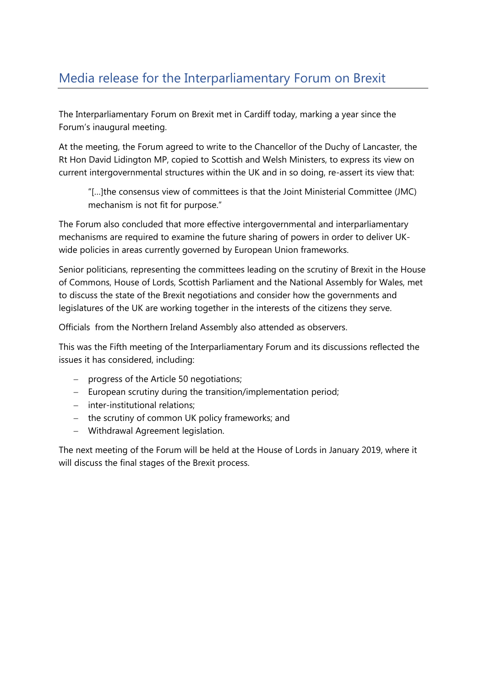The Interparliamentary Forum on Brexit met in Cardiff today, marking a year since the Forum's inaugural meeting.

At the meeting, the Forum agreed to write to the Chancellor of the Duchy of Lancaster, the Rt Hon David Lidington MP, copied to Scottish and Welsh Ministers, to express its view on current intergovernmental structures within the UK and in so doing, re-assert its view that:

"[…]the consensus view of committees is that the Joint Ministerial Committee (JMC) mechanism is not fit for purpose."

The Forum also concluded that more effective intergovernmental and interparliamentary mechanisms are required to examine the future sharing of powers in order to deliver UKwide policies in areas currently governed by European Union frameworks.

Senior politicians, representing the committees leading on the scrutiny of Brexit in the House of Commons, House of Lords, Scottish Parliament and the National Assembly for Wales, met to discuss the state of the Brexit negotiations and consider how the governments and legislatures of the UK are working together in the interests of the citizens they serve.

Officials from the Northern Ireland Assembly also attended as observers.

This was the Fifth meeting of the Interparliamentary Forum and its discussions reflected the issues it has considered, including:

- progress of the Article 50 negotiations;
- European scrutiny during the transition/implementation period;
- inter-institutional relations:
- the scrutiny of common UK policy frameworks; and
- Withdrawal Agreement legislation.

The next meeting of the Forum will be held at the House of Lords in January 2019, where it will discuss the final stages of the Brexit process.